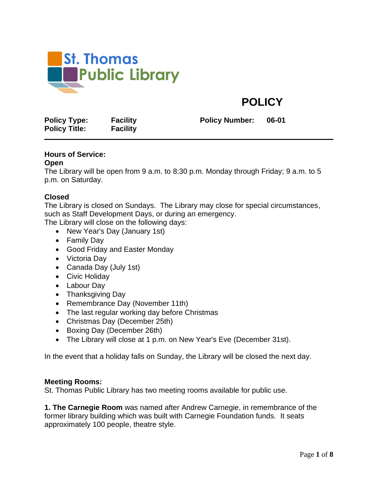

# **POLICY**

**Policy Type: Facility Policy Number: 06-01 Policy Title: Facility**

# **Hours of Service:**

#### **Open**

The Library will be open from 9 a.m. to 8:30 p.m. Monday through Friday; 9 a.m. to 5 p.m. on Saturday.

## **Closed**

The Library is closed on Sundays. The Library may close for special circumstances, such as Staff Development Days, or during an emergency.

The Library will close on the following days:

- New Year's Day (January 1st)
- Family Day
- Good Friday and Easter Monday
- Victoria Day
- Canada Day (July 1st)
- Civic Holiday
- Labour Day
- Thanksgiving Day
- Remembrance Day (November 11th)
- The last regular working day before Christmas
- Christmas Day (December 25th)
- Boxing Day (December 26th)
- The Library will close at 1 p.m. on New Year's Eve (December 31st).

In the event that a holiday falls on Sunday, the Library will be closed the next day.

#### **Meeting Rooms:**

St. Thomas Public Library has two meeting rooms available for public use.

**1. The Carnegie Room** was named after Andrew Carnegie, in remembrance of the former library building which was built with Carnegie Foundation funds. It seats approximately 100 people, theatre style.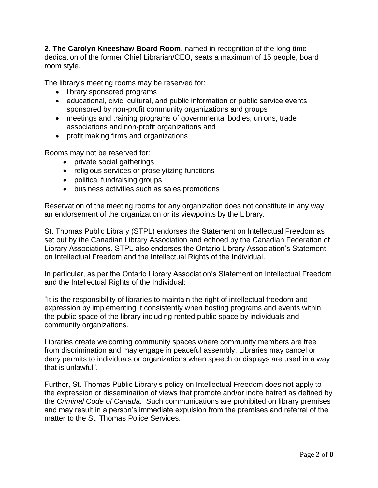**2. The Carolyn Kneeshaw Board Room**, named in recognition of the long-time dedication of the former Chief Librarian/CEO, seats a maximum of 15 people, board room style.

The library's meeting rooms may be reserved for:

- library sponsored programs
- educational, civic, cultural, and public information or public service events sponsored by non-profit community organizations and groups
- meetings and training programs of governmental bodies, unions, trade associations and non-profit organizations and
- profit making firms and organizations

Rooms may not be reserved for:

- private social gatherings
- religious services or proselytizing functions
- political fundraising groups
- business activities such as sales promotions

Reservation of the meeting rooms for any organization does not constitute in any way an endorsement of the organization or its viewpoints by the Library.

St. Thomas Public Library (STPL) endorses the Statement on Intellectual Freedom as set out by the Canadian Library Association and echoed by the Canadian Federation of Library Associations. STPL also endorses the Ontario Library Association's Statement on Intellectual Freedom and the Intellectual Rights of the Individual.

In particular, as per the Ontario Library Association's Statement on Intellectual Freedom and the Intellectual Rights of the Individual:

"It is the responsibility of libraries to maintain the right of intellectual freedom and expression by implementing it consistently when hosting programs and events within the public space of the library including rented public space by individuals and community organizations.

Libraries create welcoming community spaces where community members are free from discrimination and may engage in peaceful assembly. Libraries may cancel or deny permits to individuals or organizations when speech or displays are used in a way that is unlawful".

Further, St. Thomas Public Library's policy on Intellectual Freedom does not apply to the expression or dissemination of views that promote and/or incite hatred as defined by the *Criminal Code of Canada.* Such communications are prohibited on library premises and may result in a person's immediate expulsion from the premises and referral of the matter to the St. Thomas Police Services.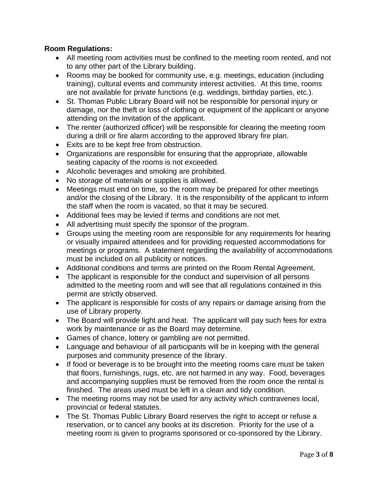# **Room Regulations:**

- All meeting room activities must be confined to the meeting room rented, and not to any other part of the Library building.
- Rooms may be booked for community use, e.g. meetings, education (including training), cultural events and community interest activities. At this time, rooms are not available for private functions (e.g. weddings, birthday parties, etc.).
- St. Thomas Public Library Board will not be responsible for personal injury or damage, nor the theft or loss of clothing or equipment of the applicant or anyone attending on the invitation of the applicant.
- The renter (authorized officer) will be responsible for clearing the meeting room during a drill or fire alarm according to the approved library fire plan.
- Exits are to be kept free from obstruction.
- Organizations are responsible for ensuring that the appropriate, allowable seating capacity of the rooms is not exceeded.
- Alcoholic beverages and smoking are prohibited.
- No storage of materials or supplies is allowed.
- Meetings must end on time, so the room may be prepared for other meetings and/or the closing of the Library. It is the responsibility of the applicant to inform the staff when the room is vacated, so that it may be secured.
- Additional fees may be levied if terms and conditions are not met.
- All advertising must specify the sponsor of the program.
- Groups using the meeting room are responsible for any requirements for hearing or visually impaired attendees and for providing requested accommodations for meetings or programs. A statement regarding the availability of accommodations must be included on all publicity or notices.
- Additional conditions and terms are printed on the Room Rental Agreement.
- The applicant is responsible for the conduct and supervision of all persons admitted to the meeting room and will see that all regulations contained in this permit are strictly observed.
- The applicant is responsible for costs of any repairs or damage arising from the use of Library property.
- The Board will provide light and heat. The applicant will pay such fees for extra work by maintenance or as the Board may determine.
- Games of chance, lottery or gambling are not permitted.
- Language and behaviour of all participants will be in keeping with the general purposes and community presence of the library.
- If food or beverage is to be brought into the meeting rooms care must be taken that floors, furnishings, rugs, etc. are not harmed in any way. Food, beverages and accompanying supplies must be removed from the room once the rental is finished. The areas used must be left in a clean and tidy condition.
- The meeting rooms may not be used for any activity which contravenes local, provincial or federal statutes.
- The St. Thomas Public Library Board reserves the right to accept or refuse a reservation, or to cancel any books at its discretion. Priority for the use of a meeting room is given to programs sponsored or co-sponsored by the Library.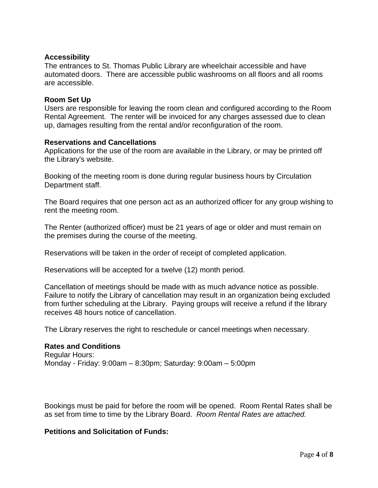### **Accessibility**

The entrances to St. Thomas Public Library are wheelchair accessible and have automated doors. There are accessible public washrooms on all floors and all rooms are accessible.

#### **Room Set Up**

Users are responsible for leaving the room clean and configured according to the Room Rental Agreement. The renter will be invoiced for any charges assessed due to clean up, damages resulting from the rental and/or reconfiguration of the room.

#### **Reservations and Cancellations**

Applications for the use of the room are available in the Library, or may be printed off the Library's website.

Booking of the meeting room is done during regular business hours by Circulation Department staff.

The Board requires that one person act as an authorized officer for any group wishing to rent the meeting room.

The Renter (authorized officer) must be 21 years of age or older and must remain on the premises during the course of the meeting.

Reservations will be taken in the order of receipt of completed application.

Reservations will be accepted for a twelve (12) month period.

Cancellation of meetings should be made with as much advance notice as possible. Failure to notify the Library of cancellation may result in an organization being excluded from further scheduling at the Library. Paying groups will receive a refund if the library receives 48 hours notice of cancellation.

The Library reserves the right to reschedule or cancel meetings when necessary.

#### **Rates and Conditions**

Regular Hours: Monday - Friday: 9:00am – 8:30pm; Saturday: 9:00am – 5:00pm

Bookings must be paid for before the room will be opened. Room Rental Rates shall be as set from time to time by the Library Board. *Room Rental Rates are attached.*

#### **Petitions and Solicitation of Funds:**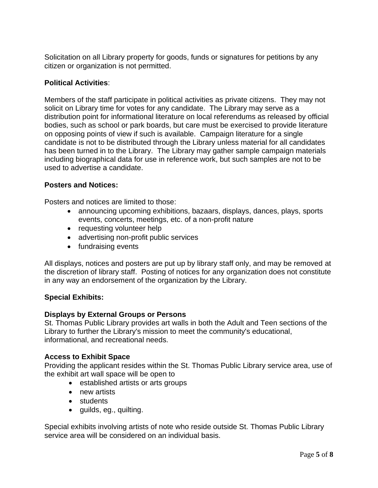Solicitation on all Library property for goods, funds or signatures for petitions by any citizen or organization is not permitted.

## **Political Activities**:

Members of the staff participate in political activities as private citizens. They may not solicit on Library time for votes for any candidate. The Library may serve as a distribution point for informational literature on local referendums as released by official bodies, such as school or park boards, but care must be exercised to provide literature on opposing points of view if such is available. Campaign literature for a single candidate is not to be distributed through the Library unless material for all candidates has been turned in to the Library. The Library may gather sample campaign materials including biographical data for use in reference work, but such samples are not to be used to advertise a candidate.

## **Posters and Notices:**

Posters and notices are limited to those:

- announcing upcoming exhibitions, bazaars, displays, dances, plays, sports events, concerts, meetings, etc. of a non-profit nature
- requesting volunteer help
- advertising non-profit public services
- fundraising events

All displays, notices and posters are put up by library staff only, and may be removed at the discretion of library staff. Posting of notices for any organization does not constitute in any way an endorsement of the organization by the Library.

## **Special Exhibits:**

## **Displays by External Groups or Persons**

St. Thomas Public Library provides art walls in both the Adult and Teen sections of the Library to further the Library's mission to meet the community's educational, informational, and recreational needs.

## **Access to Exhibit Space**

Providing the applicant resides within the St. Thomas Public Library service area, use of the exhibit art wall space will be open to

- established artists or arts groups
- new artists
- students
- guilds, eg., quilting.

Special exhibits involving artists of note who reside outside St. Thomas Public Library service area will be considered on an individual basis.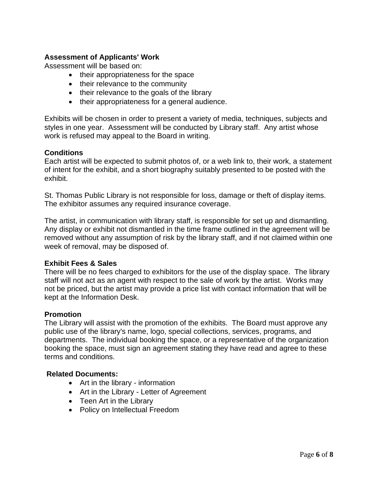# **Assessment of Applicants' Work**

Assessment will be based on:

- their appropriateness for the space
- their relevance to the community
- their relevance to the goals of the library
- their appropriateness for a general audience.

Exhibits will be chosen in order to present a variety of media, techniques, subjects and styles in one year. Assessment will be conducted by Library staff. Any artist whose work is refused may appeal to the Board in writing.

#### **Conditions**

Each artist will be expected to submit photos of, or a web link to, their work, a statement of intent for the exhibit, and a short biography suitably presented to be posted with the exhibit.

St. Thomas Public Library is not responsible for loss, damage or theft of display items. The exhibitor assumes any required insurance coverage.

The artist, in communication with library staff, is responsible for set up and dismantling. Any display or exhibit not dismantled in the time frame outlined in the agreement will be removed without any assumption of risk by the library staff, and if not claimed within one week of removal, may be disposed of.

#### **Exhibit Fees & Sales**

There will be no fees charged to exhibitors for the use of the display space. The library staff will not act as an agent with respect to the sale of work by the artist. Works may not be priced, but the artist may provide a price list with contact information that will be kept at the Information Desk.

#### **Promotion**

The Library will assist with the promotion of the exhibits. The Board must approve any public use of the library's name, logo, special collections, services, programs, and departments. The individual booking the space, or a representative of the organization booking the space, must sign an agreement stating they have read and agree to these terms and conditions.

#### **Related Documents:**

- Art in the library information
- Art in the Library Letter of Agreement
- Teen Art in the Library
- Policy on Intellectual Freedom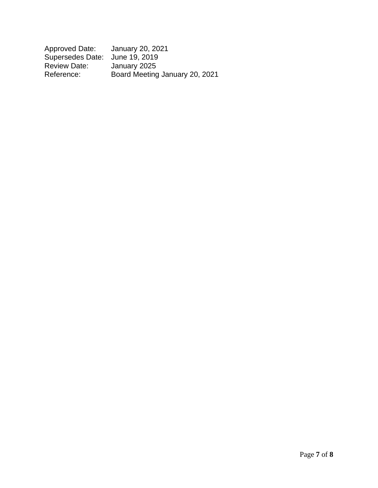| Approved Date:                 | January 20, 2021               |
|--------------------------------|--------------------------------|
| Supersedes Date: June 19, 2019 |                                |
| <b>Review Date:</b>            | January 2025                   |
| Reference:                     | Board Meeting January 20, 2021 |